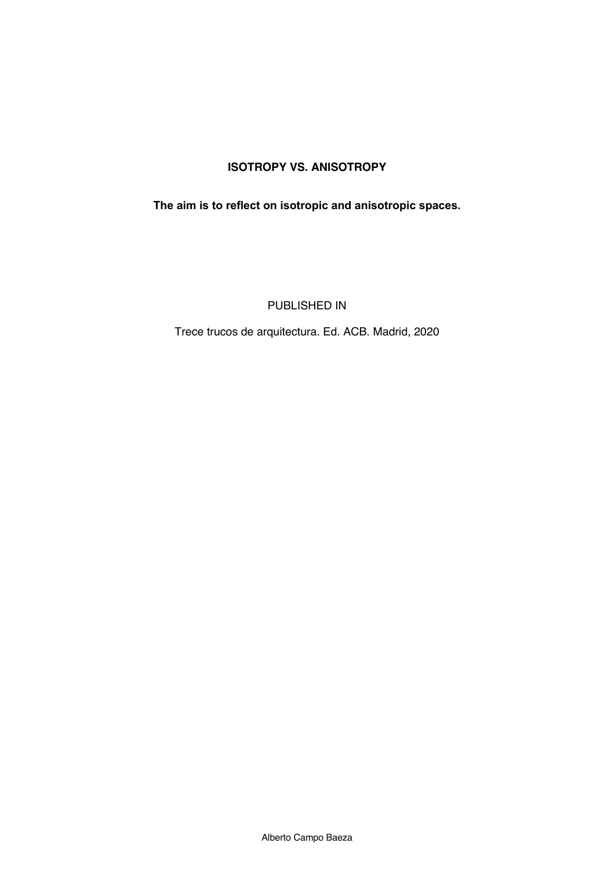## **ISOTROPY VS. ANISOTROPY**

**The aim is to reflect on isotropic and anisotropic spaces.**

PUBLISHED IN

Trece trucos de arquitectura. Ed. ACB. Madrid, 2020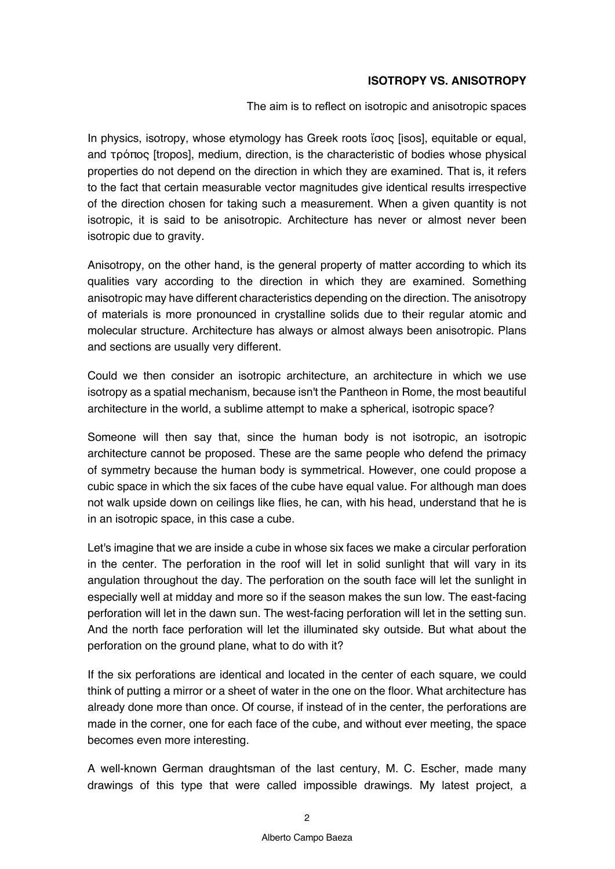## **ISOTROPY VS. ANISOTROPY**

The aim is to reflect on isotropic and anisotropic spaces

In physics, isotropy, whose etymology has Greek roots ἴσος [isos], equitable or equal, and τρόπος [tropos], medium, direction, is the characteristic of bodies whose physical properties do not depend on the direction in which they are examined. That is, it refers to the fact that certain measurable vector magnitudes give identical results irrespective of the direction chosen for taking such a measurement. When a given quantity is not isotropic, it is said to be anisotropic. Architecture has never or almost never been isotropic due to gravity.

Anisotropy, on the other hand, is the general property of matter according to which its qualities vary according to the direction in which they are examined. Something anisotropic may have different characteristics depending on the direction. The anisotropy of materials is more pronounced in crystalline solids due to their regular atomic and molecular structure. Architecture has always or almost always been anisotropic. Plans and sections are usually very different.

Could we then consider an isotropic architecture, an architecture in which we use isotropy as a spatial mechanism, because isn't the Pantheon in Rome, the most beautiful architecture in the world, a sublime attempt to make a spherical, isotropic space?

Someone will then say that, since the human body is not isotropic, an isotropic architecture cannot be proposed. These are the same people who defend the primacy of symmetry because the human body is symmetrical. However, one could propose a cubic space in which the six faces of the cube have equal value. For although man does not walk upside down on ceilings like flies, he can, with his head, understand that he is in an isotropic space, in this case a cube.

Let's imagine that we are inside a cube in whose six faces we make a circular perforation in the center. The perforation in the roof will let in solid sunlight that will vary in its angulation throughout the day. The perforation on the south face will let the sunlight in especially well at midday and more so if the season makes the sun low. The east-facing perforation will let in the dawn sun. The west-facing perforation will let in the setting sun. And the north face perforation will let the illuminated sky outside. But what about the perforation on the ground plane, what to do with it?

If the six perforations are identical and located in the center of each square, we could think of putting a mirror or a sheet of water in the one on the floor. What architecture has already done more than once. Of course, if instead of in the center, the perforations are made in the corner, one for each face of the cube, and without ever meeting, the space becomes even more interesting.

A well-known German draughtsman of the last century, M. C. Escher, made many drawings of this type that were called impossible drawings. My latest project, a